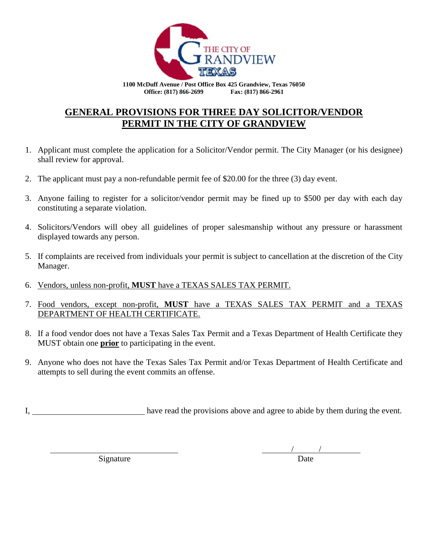

**1100 McDuff Avenue / Post Office Box 425 Grandview, Texas 76050 Office: (817) 866-2699 Fax: (817) 866-2961**

## **GENERAL PROVISIONS FOR THREE DAY SOLICITOR/VENDOR PERMIT IN THE CITY OF GRANDVIEW**

- 1. Applicant must complete the application for a Solicitor/Vendor permit. The City Manager (or his designee) shall review for approval.
- 2. The applicant must pay a non-refundable permit fee of \$20.00 for the three (3) day event.
- 3. Anyone failing to register for a solicitor/vendor permit may be fined up to \$500 per day with each day constituting a separate violation.
- 4. Solicitors/Vendors will obey all guidelines of proper salesmanship without any pressure or harassment displayed towards any person.
- 5. If complaints are received from individuals your permit is subject to cancellation at the discretion of the City Manager.
- 6. Vendors, unless non-profit, **MUST** have a TEXAS SALES TAX PERMIT.
- 7. Food vendors, except non-profit, **MUST** have a TEXAS SALES TAX PERMIT and a TEXAS DEPARTMENT OF HEALTH CERTIFICATE.
- 8. If a food vendor does not have a Texas Sales Tax Permit and a Texas Department of Health Certificate they MUST obtain one **prior** to participating in the event.
- 9. Anyone who does not have the Texas Sales Tax Permit and/or Texas Department of Health Certificate and attempts to sell during the event commits an offense.

I, have read the provisions above and agree to abide by them during the event.

Signature

/ /